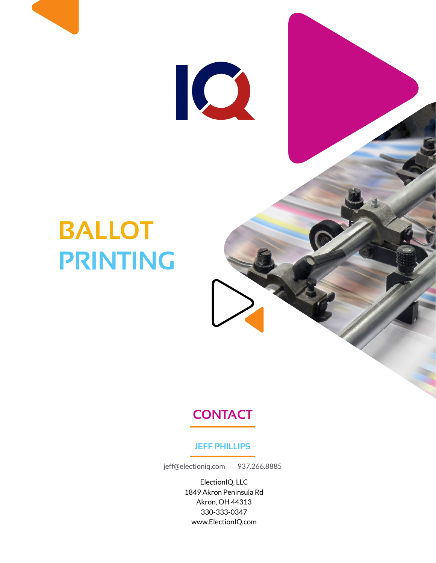

# **BALLOT PRINTING**

## **CONTACT**

#### **JEFF PHILLIPS**

jeff@electioniq.com 937.266.8885

ElectionIQ, LLC 1849 Akron Peninsula Rd Akron, OH 44313 330-333-0347 www.ElectionIQ.com